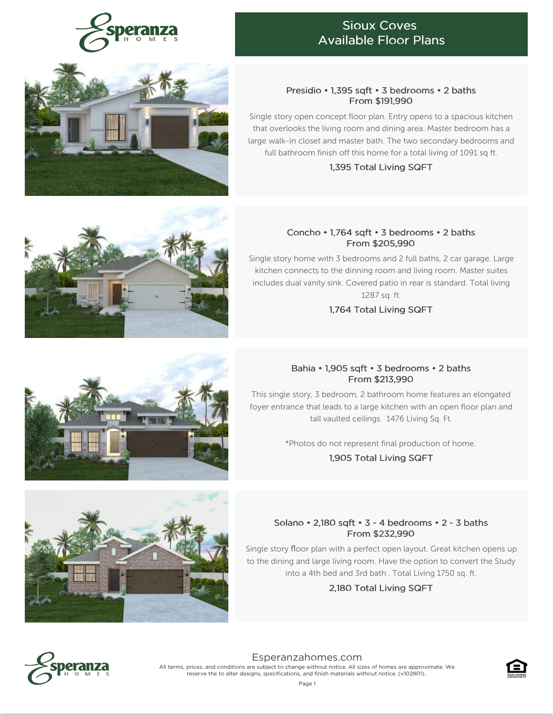

## Sioux Coves Available Floor Plans

### Presidio • 1,395 sqft • 3 bedrooms • 2 baths From \$191,990

Single story open concept floor plan. Entry opens to a spacious kitchen that overlooks the living room and dining area. Master bedroom has a large walk-in closet and master bath. The two secondary bedrooms and full bathroom finish off this home for a total living of 1091 sq ft.

1,395 Total Living SQFT

### Concho • 1,764 sqft • 3 bedrooms • 2 baths From \$205,990

Single story home with 3 bedrooms and 2 full baths, 2 car garage. Large kitchen connects to the dinning room and living room. Master suites includes dual vanity sink. Covered patio in rear is standard. Total living 1287 sq. ft.

1,764 Total Living SQFT

## Bahia • 1,905 sqft • 3 bedrooms • 2 baths From \$213,990

This single story, 3 bedroom, 2 bathroom home features an elongated foyer entrance that leads to a large kitchen with an open floor plan and tall vaulted ceilings. 1476 Living Sq. Ft.

\*Photos do not represent final production of home.

1,905 Total Living SQFT

## Solano • 2,180 sqft • 3 - 4 bedrooms • 2 - 3 baths From \$232,990

Single story floor plan with a perfect open layout. Great kitchen opens up to the dining and large living room. Have the option to convert the Study into a 4th bed and 3rd bath . Total Living 1750 sq. ft.

## 2,180 Total Living SQFT



[Esperanzahomes.com](https://www.esperanzahomes.com) All terms, prices, and conditions are subject to change without notice. All sizes of homes are approximate. We reserve the to alter designs, specifications, and finish materials without notice. (v102801).